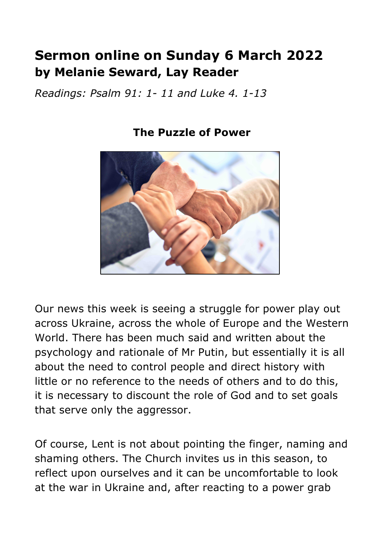## **Sermon online on Sunday 6 March 2022 by Melanie Seward, Lay Reader**

*Readings: Psalm 91: 1- 11 and Luke 4. 1-13* 



## **The Puzzle of Power**

Our news this week is seeing a struggle for power play out across Ukraine, across the whole of Europe and the Western World. There has been much said and written about the psychology and rationale of Mr Putin, but essentially it is all about the need to control people and direct history with little or no reference to the needs of others and to do this, it is necessary to discount the role of God and to set goals that serve only the aggressor.

Of course, Lent is not about pointing the finger, naming and shaming others. The Church invites us in this season, to reflect upon ourselves and it can be uncomfortable to look at the war in Ukraine and, after reacting to a power grab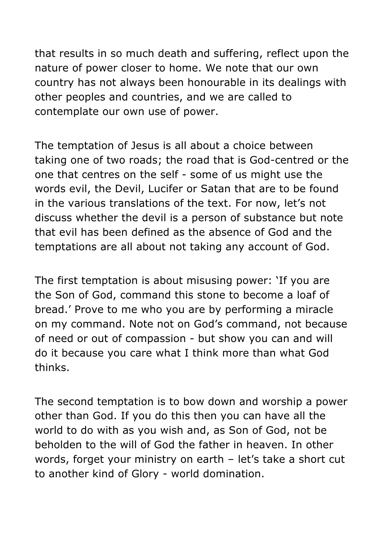that results in so much death and suffering, reflect upon the nature of power closer to home. We note that our own country has not always been honourable in its dealings with other peoples and countries, and we are called to contemplate our own use of power.

The temptation of Jesus is all about a choice between taking one of two roads; the road that is God-centred or the one that centres on the self - some of us might use the words evil, the Devil, Lucifer or Satan that are to be found in the various translations of the text. For now, let's not discuss whether the devil is a person of substance but note that evil has been defined as the absence of God and the temptations are all about not taking any account of God.

The first temptation is about misusing power: 'If you are the Son of God, command this stone to become a loaf of bread.' Prove to me who you are by performing a miracle on my command. Note not on God's command, not because of need or out of compassion - but show you can and will do it because you care what I think more than what God thinks.

The second temptation is to bow down and worship a power other than God. If you do this then you can have all the world to do with as you wish and, as Son of God, not be beholden to the will of God the father in heaven. In other words, forget your ministry on earth – let's take a short cut to another kind of Glory - world domination.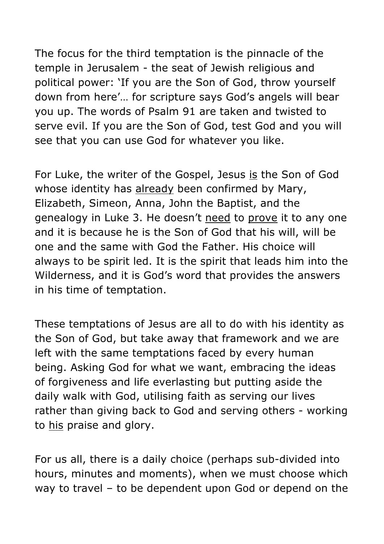The focus for the third temptation is the pinnacle of the temple in Jerusalem - the seat of Jewish religious and political power: 'If you are the Son of God, throw yourself down from here'… for scripture says God's angels will bear you up. The words of Psalm 91 are taken and twisted to serve evil. If you are the Son of God, test God and you will see that you can use God for whatever you like.

For Luke, the writer of the Gospel, Jesus is the Son of God whose identity has already been confirmed by Mary, Elizabeth, Simeon, Anna, John the Baptist, and the genealogy in Luke 3. He doesn't need to prove it to any one and it is because he is the Son of God that his will, will be one and the same with God the Father. His choice will always to be spirit led. It is the spirit that leads him into the Wilderness, and it is God's word that provides the answers in his time of temptation.

These temptations of Jesus are all to do with his identity as the Son of God, but take away that framework and we are left with the same temptations faced by every human being. Asking God for what we want, embracing the ideas of forgiveness and life everlasting but putting aside the daily walk with God, utilising faith as serving our lives rather than giving back to God and serving others - working to his praise and glory.

For us all, there is a daily choice (perhaps sub-divided into hours, minutes and moments), when we must choose which way to travel – to be dependent upon God or depend on the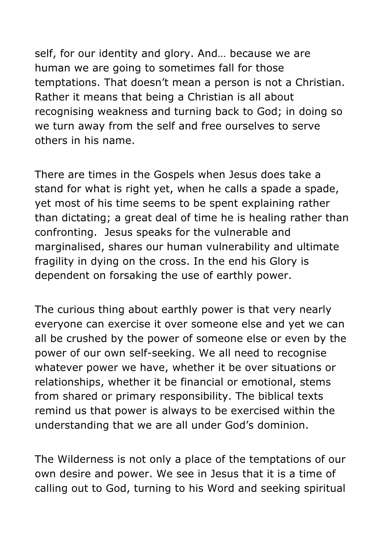self, for our identity and glory. And… because we are human we are going to sometimes fall for those temptations. That doesn't mean a person is not a Christian. Rather it means that being a Christian is all about recognising weakness and turning back to God; in doing so we turn away from the self and free ourselves to serve others in his name.

There are times in the Gospels when Jesus does take a stand for what is right yet, when he calls a spade a spade, yet most of his time seems to be spent explaining rather than dictating; a great deal of time he is healing rather than confronting. Jesus speaks for the vulnerable and marginalised, shares our human vulnerability and ultimate fragility in dying on the cross. In the end his Glory is dependent on forsaking the use of earthly power.

The curious thing about earthly power is that very nearly everyone can exercise it over someone else and yet we can all be crushed by the power of someone else or even by the power of our own self-seeking. We all need to recognise whatever power we have, whether it be over situations or relationships, whether it be financial or emotional, stems from shared or primary responsibility. The biblical texts remind us that power is always to be exercised within the understanding that we are all under God's dominion.

The Wilderness is not only a place of the temptations of our own desire and power. We see in Jesus that it is a time of calling out to God, turning to his Word and seeking spiritual